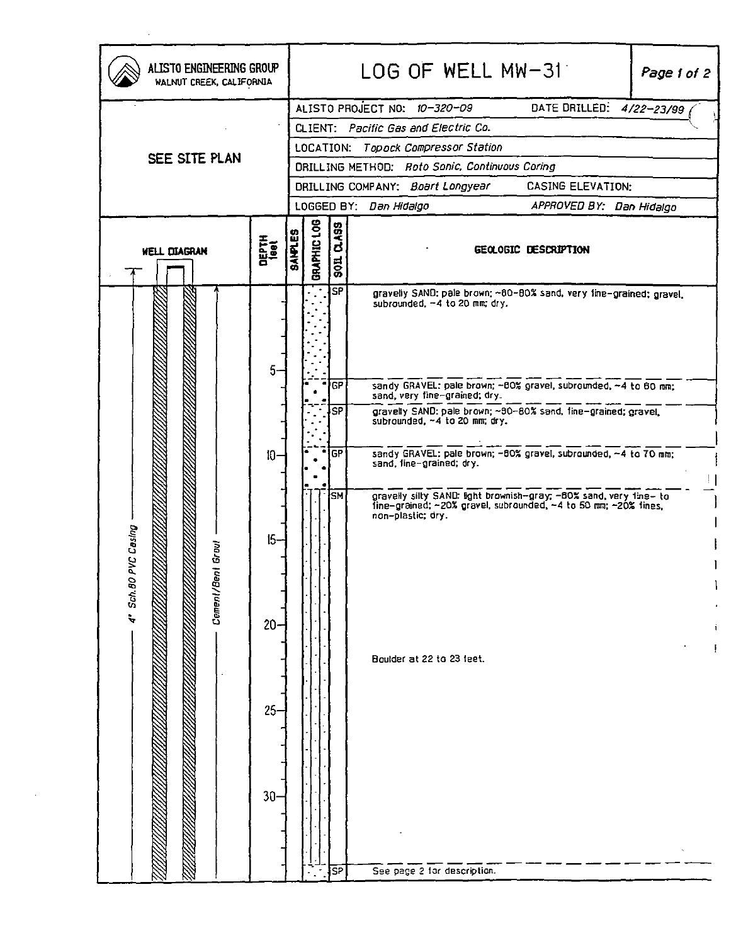| ALISTO ENGINEERING GROUP<br>WALNUT CREEK, CALIFORNIA |               |                |                                      |              | LOG OF WELL MW-31<br>Page 1 of 2                                                                                                                        |  |
|------------------------------------------------------|---------------|----------------|--------------------------------------|--------------|---------------------------------------------------------------------------------------------------------------------------------------------------------|--|
|                                                      |               |                |                                      |              | DATE DRILLED: 4/22-23/99<br>ALISTO PROJECT NO: 10-320-09                                                                                                |  |
| SEE SITE PLAN                                        |               |                | CLIENT: Pacific Gas and Electric Co. |              |                                                                                                                                                         |  |
|                                                      |               |                | LOCATION: Topock Compressor Station  |              |                                                                                                                                                         |  |
|                                                      |               |                |                                      |              | DRILLING METHOD: Roto Sonic, Continuous Coring                                                                                                          |  |
|                                                      |               |                |                                      |              | <b>CASING ELEVATION:</b><br>DRILLING COMPANY: Boart Longyear                                                                                            |  |
|                                                      |               |                |                                      |              | LOGGED BY: Dan Hidalgo<br>APPROVED BY: Dan Hidalgo                                                                                                      |  |
| WELL DIAGRAN                                         | DEPTH<br>1eet | <b>SAIPLES</b> | GRAPHIC LOG                          | 0.499<br>501 | GEOLOGIC DESCRIPTION                                                                                                                                    |  |
| C Casing<br>Grovl<br>4" Sch.80 PV<br>Cement/Bent     | 5.            |                |                                      | SP           | gravelly SAND: pale brown; ~80-80% sand, very fine-grained; gravel,<br>subrounded, -4 to 20 mm; dry.                                                    |  |
|                                                      |               |                |                                      | GP           | sandy GRAVEL: pale brown; -00% gravel, subrounded, -4 to 60 nm;<br>sand, very tine-graned; dry.                                                         |  |
|                                                      |               |                |                                      | <b>SP</b>    | gravelly SAND: pale brown; ~90-80% sand, fine-grained; gravel,<br>subrounded, ~4 to 20 mm; dry.                                                         |  |
|                                                      | $10 -$        |                |                                      | <b>GP</b>    | sandy GRAVEL: pale brown; -00% gravel, subrounded, ~4 to 70 mm;<br>sand, fine-grained; dry.                                                             |  |
|                                                      | $15 -$        |                |                                      | <b>SM</b>    | gravelly silty SAND: light brownish-gray; -80% sand, very tine- to fine-grained; ~20% gravel, subrounded, ~4 to 50 mm; ~20% fines,<br>non-plastic; dry. |  |
|                                                      | $20 -$        |                |                                      |              | Boulder at 22 to 23 feet.                                                                                                                               |  |
|                                                      | $25 -$        |                |                                      |              |                                                                                                                                                         |  |
|                                                      | $30 -$        |                |                                      |              |                                                                                                                                                         |  |
|                                                      |               |                |                                      |              |                                                                                                                                                         |  |
|                                                      |               |                |                                      | SP           | See page 2 for description.                                                                                                                             |  |

 $\mathcal{L}(\mathcal{L}^{\mathcal{L}})$  . The set of  $\mathcal{L}^{\mathcal{L}}$ 

 $\mathcal{L}(\mathcal{L})$  and  $\mathcal{L}(\mathcal{L})$